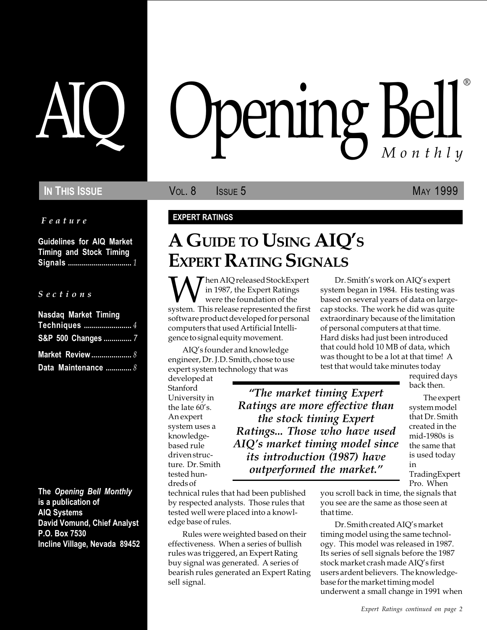### IN THIS ISSUE **VOL. 8** ISSUE 5 MAY 1999

Feature

Guidelines for AIQ Market Timing and Stock Timing Signals ................................ 1

S e c t i o n s

| <b>Nasdag Market Timing</b> |
|-----------------------------|
|                             |
| S&P 500 Changes  7          |
|                             |
| Data Maintenance  8         |

The Opening Bell Monthly is a publication of AIQ Systems David Vomund, Chief Analyst P.O. Box 7530 Incline Village, Nevada 89452

# pening Bell ®

#### EXPERT RATINGS

## A GUIDE TO USING AIO'S EXPERT RATING SIGNALS

When AIQ released StockExpert<br>were the foundation of the<br>system. This release represented the first in 1987, the Expert Ratings were the foundation of the software product developed for personal computers that used Artificial Intelligence to signal equity movement.

AIQ's founder and knowledge engineer, Dr. J.D. Smith, chose to use expert system technology that was

developed at Stanford University in the late  $60$ 's. An expert system uses a knowledgebased rule driven structure. Dr. Smith tested hundreds of

The market timing Expert Ratings are more effective than the stock timing Expert Ratings... Those who have used AIQ's market timing model since its introduction (1987) have outperformed the market.

technical rules that had been published by respected analysts. Those rules that tested well were placed into a knowledge base of rules.

Rules were weighted based on their effectiveness. When a series of bullish rules was triggered, an Expert Rating buy signal was generated. A series of bearish rules generated an Expert Rating sell signal.

Dr. Smith's work on AIQ's expert system began in 1984. His testing was based on several years of data on largecap stocks. The work he did was quite extraordinary because of the limitation of personal computers at that time. Hard disks had just been introduced that could hold 10 MB of data, which was thought to be a lot at that time! A test that would take minutes today

required days back then.

The expert system model that Dr. Smith created in the mid-1980s is the same that is used today in TradingExpert Pro. When

you scroll back in time, the signals that you see are the same as those seen at that time.

Dr. Smith created AIQ's market timing model using the same technology. This model was released in 1987. Its series of sell signals before the 1987 stock market crash made AIQ's first users ardent believers. The knowledgebase for the market timing model underwent a small change in 1991 when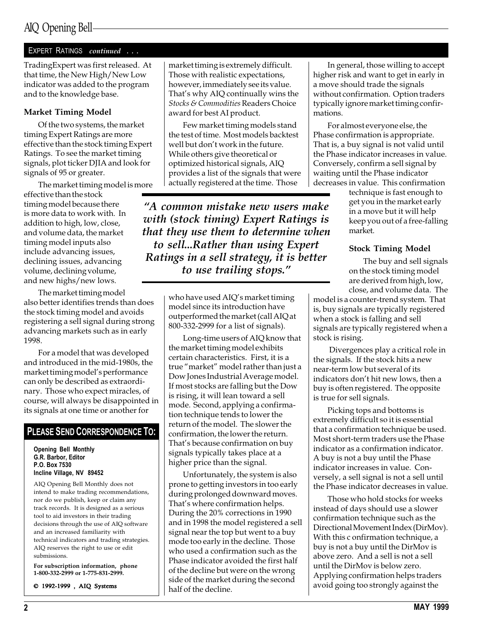#### EXPERT RATINGS continued . . .

TradingExpert was first released. At that time, the New High/New Low indicator was added to the program and to the knowledge base.

#### Market Timing Model

Of the two systems, the market timing Expert Ratings are more effective than the stock timing Expert Ratings. To see the market timing signals, plot ticker DJIA and look for signals of 95 or greater.

The market timing model is more

effective than the stock timing model because there is more data to work with. In addition to high, low, close, and volume data, the market timing model inputs also include advancing issues, declining issues, advancing volume, declining volume, and new highs/new lows.

The market timing model also better identifies trends than does the stock timing model and avoids registering a sell signal during strong advancing markets such as in early 1998.

For a model that was developed and introduced in the mid-1980s, the market timing model's performance can only be described as extraordinary. Those who expect miracles, of course, will always be disappointed in its signals at one time or another for

#### PLEASE SEND CORRESPONDENCE TO:

Opening Bell Monthly G.R. Barbor, Editor P.O. Box 7530 Incline Village, NV 89452

AIQ Opening Bell Monthly does not intend to make trading recommendations, nor do we publish, keep or claim any track records. It is designed as a serious tool to aid investors in their trading decisions through the use of AIQ software and an increased familiarity with technical indicators and trading strategies. AIQ reserves the right to use or edit submissions.

For subscription information, phone 1-800-332-2999 or 1-775-831-2999.

© 1992-1999 , AIQ Systems

market timing is extremely difficult. Those with realistic expectations, however, immediately see its value. That's why AIQ continually wins the Stocks & Commodities Readers Choice award for best AI product.

Few market timing models stand the test of time. Most models backtest well but don't work in the future. While others give theoretical or optimized historical signals, AIQ provides a list of the signals that were actually registered at the time. Those

A common mistake new users make with (stock timing) Expert Ratings is that they use them to determine when to sell...Rather than using Expert Ratings in a sell strategy, it is better to use trailing stops.

> who have used AIQ's market timing model since its introduction have outperformed the market (call AIQ at 800-332-2999 for a list of signals).

Long-time users of AIQ know that the market timing model exhibits certain characteristics. First, it is a true "market" model rather than just a Dow Jones Industrial Average model. If most stocks are falling but the Dow is rising, it will lean toward a sell mode. Second, applying a confirmation technique tends to lower the return of the model. The slower the confirmation, the lower the return. That's because confirmation on buy signals typically takes place at a higher price than the signal.

Unfortunately, the system is also prone to getting investors in too early during prolonged downward moves. That's where confirmation helps. During the 20% corrections in 1990 and in 1998 the model registered a sell signal near the top but went to a buy mode too early in the decline. Those who used a confirmation such as the Phase indicator avoided the first half of the decline but were on the wrong side of the market during the second half of the decline.

In general, those willing to accept higher risk and want to get in early in a move should trade the signals without confirmation. Option traders typically ignore market timing confirmations.

For almost everyone else, the Phase confirmation is appropriate. That is, a buy signal is not valid until the Phase indicator increases in value. Conversely, confirm a sell signal by waiting until the Phase indicator decreases in value. This confirmation

technique is fast enough to get you in the market early in a move but it will help keep you out of a free-falling market.

#### Stock Timing Model

The buy and sell signals on the stock timing model are derived from high, low, close, and volume data. The

model is a counter-trend system. That is, buy signals are typically registered when a stock is falling and sell signals are typically registered when a stock is rising.

 Divergences play a critical role in the signals. If the stock hits a new near-term low but several of its indicators don't hit new lows, then a buy is often registered. The opposite is true for sell signals.

Picking tops and bottoms is extremely difficult so it is essential that a confirmation technique be used. Most short-term traders use the Phase indicator as a confirmation indicator. A buy is not a buy until the Phase indicator increases in value. Conversely, a sell signal is not a sell until the Phase indicator decreases in value.

Those who hold stocks for weeks instead of days should use a slower confirmation technique such as the Directional Movement Index (DirMov). With this c onfirmation technique, a buy is not a buy until the DirMov is above zero. And a sell is not a sell until the DirMov is below zero. Applying confirmation helps traders avoid going too strongly against the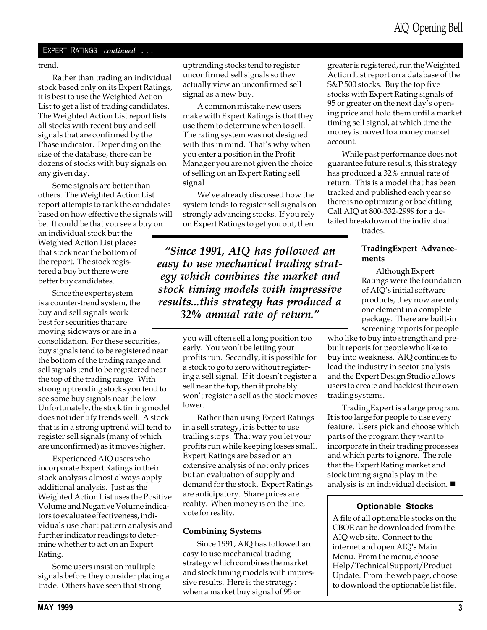#### EXPERT RATINGS continued . . .

trend.

Rather than trading an individual stock based only on its Expert Ratings, it is best to use the Weighted Action List to get a list of trading candidates. The Weighted Action List report lists all stocks with recent buy and sell signals that are confirmed by the Phase indicator. Depending on the size of the database, there can be dozens of stocks with buy signals on any given day.

Some signals are better than others. The Weighted Action List report attempts to rank the candidates based on how effective the signals will be. It could be that you see a buy on an individual stock but the Weighted Action List places that stock near the bottom of the report. The stock registered a buy but there were better buy candidates.

Since the expert system is a counter-trend system, the buy and sell signals work best for securities that are moving sideways or are in a consolidation. For these securities, buy signals tend to be registered near the bottom of the trading range and sell signals tend to be registered near the top of the trading range. With strong uptrending stocks you tend to see some buy signals near the low. Unfortunately, the stock timing model does not identify trends well. A stock that is in a strong uptrend will tend to register sell signals (many of which are unconfirmed) as it moves higher.

Experienced AIQ users who incorporate Expert Ratings in their stock analysis almost always apply additional analysis. Just as the Weighted Action List uses the Positive Volume and Negative Volume indicators to evaluate effectiveness, individuals use chart pattern analysis and further indicator readings to determine whether to act on an Expert Rating.

Some users insist on multiple signals before they consider placing a trade. Others have seen that strong

uptrending stocks tend to register unconfirmed sell signals so they actually view an unconfirmed sell signal as a new buy.

A common mistake new users make with Expert Ratings is that they use them to determine when to sell. The rating system was not designed with this in mind. That's why when you enter a position in the Profit Manager you are not given the choice of selling on an Expert Rating sell signal

We've already discussed how the system tends to register sell signals on strongly advancing stocks. If you rely on Expert Ratings to get you out, then

Since 1991, AIQ has followed an easy to use mechanical trading strategy which combines the market and stock timing models with impressive results...this strategy has produced a 32% annual rate of return.

> you will often sell a long position too early. You won't be letting your profits run. Secondly, it is possible for a stock to go to zero without registering a sell signal. If it doesn't register a sell near the top, then it probably won't register a sell as the stock moves lower.

> Rather than using Expert Ratings in a sell strategy, it is better to use trailing stops. That way you let your profits run while keeping losses small. Expert Ratings are based on an extensive analysis of not only prices but an evaluation of supply and demand for the stock. Expert Ratings are anticipatory. Share prices are reality. When money is on the line, vote for reality.

#### Combining Systems

Since 1991, AIQ has followed an easy to use mechanical trading strategy which combines the market and stock timing models with impressive results. Here is the strategy: when a market buy signal of 95 or

greater is registered, run the Weighted Action List report on a database of the S&P 500 stocks. Buy the top five stocks with Expert Rating signals of 95 or greater on the next day's opening price and hold them until a market timing sell signal, at which time the money is moved to a money market account.

While past performance does not guarantee future results, this strategy has produced a 32% annual rate of return. This is a model that has been tracked and published each year so there is no optimizing or backfitting. Call AIQ at 800-332-2999 for a detailed breakdown of the individual

trades.

#### TradingExpert Advancements

Although Expert Ratings were the foundation of AIQ's initial software products, they now are only one element in a complete package. There are built-in screening reports for people

who like to buy into strength and prebuilt reports for people who like to buy into weakness. AIQ continues to lead the industry in sector analysis and the Expert Design Studio allows users to create and backtest their own trading systems.

TradingExpert is a large program. It is too large for people to use every feature. Users pick and choose which parts of the program they want to incorporate in their trading processes and which parts to ignore. The role that the Expert Rating market and stock timing signals play in the analysis is an individual decision.  $\blacksquare$ 

#### Optionable Stocks

A file of all optionable stocks on the CBOE can be downloaded from the AIQ web site. Connect to the internet and open AIQ's Main Menu. From the menu, choose Help/Technical Support/Product Update. From the web page, choose to download the optionable list file.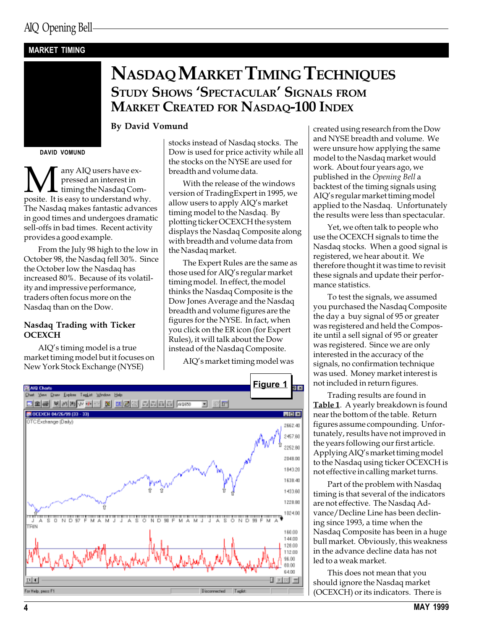#### MARKET TIMING

## NASDAQ MARKET TIMING TECHNIQUES STUDY SHOWS 'SPECTACULAR' SIGNALS FROM MARKET CREATED FOR NASDAQ-100 INDEX

#### By David Vomund

DAVID VOMUND

**M** any AIQ users have expressed an interest in timing the Nasdaq Composite. It is easy to understand why. pressed an interest in timing the Nasdaq Com-The Nasdaq makes fantastic advances in good times and undergoes dramatic sell-offs in bad times. Recent activity provides a good example.

From the July 98 high to the low in October 98, the Nasdaq fell 30%. Since the October low the Nasdaq has increased 80%. Because of its volatility and impressive performance, traders often focus more on the Nasdaq than on the Dow.

#### Nasdaq Trading with Ticker **OCEXCH**

AIQ's timing model is a true market timing model but it focuses on New York Stock Exchange (NYSE)

stocks instead of Nasdaq stocks. The Dow is used for price activity while all the stocks on the NYSE are used for breadth and volume data.

With the release of the windows version of TradingExpert in 1995, we allow users to apply AIQ's market timing model to the Nasdaq. By plotting ticker OCEXCH the system displays the Nasdaq Composite along with breadth and volume data from the Nasdaq market.

The Expert Rules are the same as those used for AIO's regular market timing model. In effect, the model thinks the Nasdaq Composite is the Dow Jones Average and the Nasdaq breadth and volume figures are the figures for the NYSE. In fact, when you click on the ER icon (for Expert Rules), it will talk about the Dow instead of the Nasdaq Composite.

AIQ's market timing model was



created using research from the Dow and NYSE breadth and volume. We were unsure how applying the same model to the Nasdaq market would work. About four years ago, we published in the Opening Bell a backtest of the timing signals using AIQ's regular market timing model applied to the Nasdaq. Unfortunately the results were less than spectacular.

Yet, we often talk to people who use the OCEXCH signals to time the Nasdaq stocks. When a good signal is registered, we hear about it. We therefore thought it was time to revisit these signals and update their performance statistics.

To test the signals, we assumed you purchased the Nasdaq Composite the day a buy signal of 95 or greater was registered and held the Composite until a sell signal of 95 or greater was registered. Since we are only interested in the accuracy of the signals, no confirmation technique was used. Money market interest is not included in return figures.

Trading results are found in Table 1. A yearly breakdown is found near the bottom of the table. Return figures assume compounding. Unfortunately, results have not improved in the years following our first article. Applying AIQ's market timing model to the Nasdaq using ticker OCEXCH is not effective in calling market turns.

Part of the problem with Nasdaq timing is that several of the indicators are not effective. The Nasdaq Advance/Decline Line has been declining since 1993, a time when the Nasdaq Composite has been in a huge bull market. Obviously, this weakness in the advance decline data has not led to a weak market.

This does not mean that you should ignore the Nasdaq market (OCEXCH) or its indicators. There is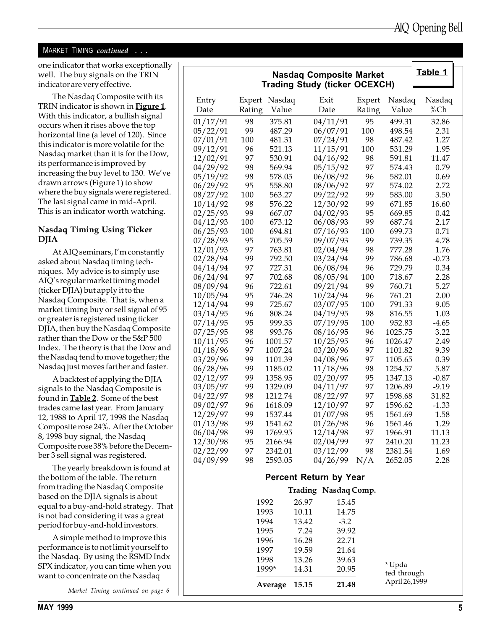#### MARKET TIMING continued . . .

one indicator that works exceptionally well. The buy signals on the TRIN indicator are very effective.

The Nasdaq Composite with its TRIN indicator is shown in **Figure 1**. With this indicator, a bullish signal occurs when it rises above the top horizontal line (a level of 120). Since this indicator is more volatile for the Nasdaq market than it is for the Dow, its performance is improved by increasing the buy level to 130. We've drawn arrows (Figure 1) to show where the buy signals were registered. The last signal came in mid-April. This is an indicator worth watching.

#### Nasdaq Timing Using Ticker DJIA

At AIQ seminars, I'm constantly asked about Nasdaq timing techniques. My advice is to simply use AIQ's regular market timing model (ticker DJIA) but apply it to the Nasdaq Composite. That is, when a market timing buy or sell signal of 95 or greater is registered using ticker DJIA, then buy the Nasdaq Composite rather than the Dow or the S&P 500 Index. The theory is that the Dow and the Nasdaq tend to move together; the Nasdaq just moves farther and faster.

A backtest of applying the DJIA signals to the Nasdaq Composite is found in Table 2. Some of the best trades came last year. From January 12, 1988 to April 17, 1998 the Nasdaq Composite rose 24%. After the October 8, 1998 buy signal, the Nasdaq Composite rose 38% before the December 3 sell signal was registered.

The yearly breakdown is found at the bottom of the table. The return from trading the Nasdaq Composite based on the DJIA signals is about equal to a buy-and-hold strategy. That is not bad considering it was a great period for buy-and-hold investors.

A simple method to improve this performance is to not limit yourself to the Nasdaq. By using the RSMD Indx SPX indicator, you can time when you want to concentrate on the Nasdaq

|  | Market Timing continued on page 6 |  |  |
|--|-----------------------------------|--|--|

| Table 1<br><b>Nasdaq Composite Market</b><br><b>Trading Study (ticker OCEXCH)</b> |            |                  |                      |          |                  |              |  |
|-----------------------------------------------------------------------------------|------------|------------------|----------------------|----------|------------------|--------------|--|
|                                                                                   |            |                  |                      |          |                  |              |  |
| Entry                                                                             | Expert     | Nasdaq           | Exit                 | Expert   | Nasdaq           | Nasdaq       |  |
| Date                                                                              | Rating     | Value            | Date                 | Rating   | Value            | %Ch          |  |
| 01/17/91                                                                          | 98         | 375.81           | 04/11/91             | 95       | 499.31           | 32.86        |  |
| 05/22/91                                                                          | 99         | 487.29           | 06/07/91             | 100      | 498.54           | 2.31         |  |
| 07/01/91                                                                          | 100        | 481.31           | 07/24/91             | 98       | 487.42           | 1.27         |  |
| 09/12/91                                                                          | 96         | 521.13           | 11/15/91             | 100      | 531.29           | 1.95         |  |
| 12/02/91                                                                          | 97         | 530.91           | 04/16/92             | 98       | 591.81           | 11.47        |  |
| 04/29/92                                                                          | 98         | 569.94           | 05/15/92             | 97       | 574.43           | 0.79         |  |
| 05/19/92                                                                          | 98         | 578.05           | 06/08/92             | 96       | 582.01           | 0.69         |  |
| 06/29/92                                                                          | 95         | 558.80           | 08/06/92             | 97       | 574.02           | 2.72         |  |
| 08/27/92                                                                          | 100        | 563.27           | 09/22/92             | 99       | 583.00           | 3.50         |  |
| 10/14/92                                                                          | 98         | 576.22           | 12/30/92             | 99       | 671.85           | 16.60        |  |
| 02/25/93                                                                          | 99         | 667.07           | 04/02/93             | 95<br>99 | 669.85           | 0.42         |  |
| 04/12/93<br>06/25/93                                                              | 100<br>100 | 673.12<br>694.81 | 06/08/93<br>07/16/93 | 100      | 687.74<br>699.73 | 2.17<br>0.71 |  |
| 07/28/93                                                                          | 95         | 705.59           | 09/07/93             | 99       | 739.35           | 4.78         |  |
| 12/01/93                                                                          | 97         | 763.81           | 02/04/94             | 98       | 777.28           | 1.76         |  |
| 02/28/94                                                                          | 99         | 792.50           | 03/24/94             | 99       | 786.68           | $-0.73$      |  |
| 04/14/94                                                                          | 97         | 727.31           | 06/08/94             | 96       | 729.79           | 0.34         |  |
| 06/24/94                                                                          | 97         | 702.68           | 08/05/94             | 100      | 718.67           | 2.28         |  |
| 08/09/94                                                                          | 96         | 722.61           | 09/21/94             | 99       | 760.71           | 5.27         |  |
| 10/05/94                                                                          | 95         | 746.28           | 10/24/94             | 96       | 761.21           | 2.00         |  |
| 12/14/94                                                                          | 99         | 725.67           | 03/07/95             | 100      | 791.33           | 9.05         |  |
| 03/14/95                                                                          | 96         | 808.24           | 04/19/95             | 98       | 816.55           | 1.03         |  |
| 07/14/95                                                                          | 95         | 999.33           | 07/19/95             | 100      | 952.83           | $-4.65$      |  |
| 07/25/95                                                                          | 98         | 993.76           | 08/16/95             | 96       | 1025.75          | 3.22         |  |
| 10/11/95                                                                          | 96         | 1001.57          | 10/25/95             | 96       | 1026.47          | 2.49         |  |
| 01/18/96                                                                          | 97         | 1007.24          | 03/20/96             | 97       | 1101.82          | 9.39         |  |
| 03/29/96                                                                          | 99         | 1101.39          | 04/08/96             | 97       | 1105.65          | 0.39         |  |
| 06/28/96                                                                          | 99         | 1185.02          | 11/18/96             | 98       | 1254.57          | 5.87         |  |
| 02/12/97                                                                          | 99         | 1358.95          | 02/20/97             | 95       | 1347.13          | $-0.87$      |  |
| 03/05/97                                                                          | 99         | 1329.09          | 04/11/97             | 97       | 1206.89          | $-9.19$      |  |
| 04/22/97                                                                          | 98         | 1212.74          | 08/22/97             | 97       | 1598.68          | 31.82        |  |
| 09/02/97                                                                          | 96         | 1618.09          | 12/10/97             | 97       | 1596.62          | $-1.33$      |  |
| 12/29/97                                                                          | 99         | 1537.44          | 01/07/98             | 95       | 1561.69          | 1.58         |  |
| 01/13/98                                                                          | 99         | 1541.62          | 01/26/98             | 96       | 1561.46          | 1.29         |  |
| 06/04/98                                                                          | 99         | 1769.95          | 12/14/98             | 97       | 1966.91          | 11.13        |  |
| 12/30/98                                                                          | 95         | 2166.94          | 02/04/99             | 97       | 2410.20          | 11.23        |  |
| 02/22/99                                                                          | 97         | 2342.01          | 03/12/99             | 98       | 2381.54          | 1.69         |  |
| 04/09/99                                                                          | 98         | 2593.05          | 04/26/99             | N/A      | 2652.05          | 2.28         |  |
| <b>Percent Return by Year</b>                                                     |            |                  |                      |          |                  |              |  |
| Trading Nasdaq Comp.                                                              |            |                  |                      |          |                  |              |  |

|         | <b>Trading</b> | Nasdag Comp. |                       |
|---------|----------------|--------------|-----------------------|
| 1992    | 26.97          | 15.45        |                       |
| 1993    | 10.11          | 14.75        |                       |
| 1994    | 13.42          | $-3.2$       |                       |
| 1995    | 7.24           | 39.92        |                       |
| 1996    | 16.28          | 22.71        |                       |
| 1997    | 19.59          | 21.64        |                       |
| 1998    | 13.26          | 39.63        |                       |
| 1999*   | 14.31          | 20.95        | * Upda<br>ted through |
| Average | 15.15          | 21.48        | April 26,1999         |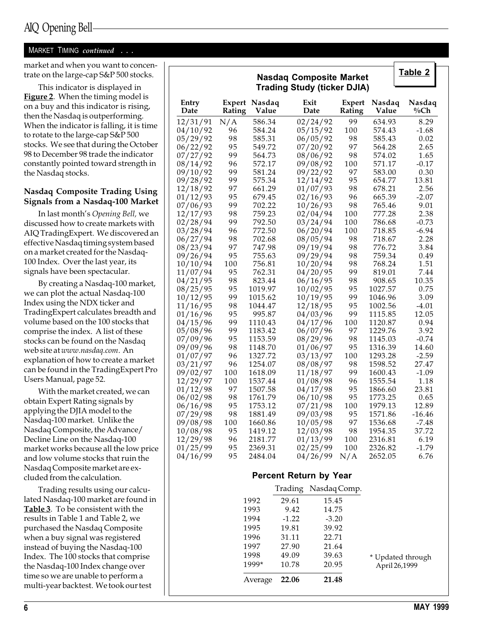## AIQ Opening Bell

#### MARKET TIMING continued . . .

market and when you want to concentrate on the large-cap S&P 500 stocks.

This indicator is displayed in Figure 2. When the timing model is on a buy and this indicator is rising, then the Nasdaq is outperforming. When the indicator is falling, it is time to rotate to the large-cap S&P 500 stocks. We see that during the October 98 to December 98 trade the indicator constantly pointed toward strength in the Nasdaq stocks.

#### Nasdaq Composite Trading Using Signals from a Nasdaq-100 Market

In last month's Opening Bell, we discussed how to create markets with AIQ TradingExpert. We discovered an effective Nasdaq timing system based on a market created for the Nasdaq-100 Index. Over the last year, its signals have been spectacular.

By creating a Nasdaq-100 market, we can plot the actual Nasdaq-100 Index using the NDX ticker and TradingExpert calculates breadth and volume based on the 100 stocks that comprise the index. A list of these stocks can be found on the Nasdaq web site at www.nasdaq.com. An explanation of how to create a market can be found in the TradingExpert Pro Users Manual, page 52.

With the market created, we can obtain Expert Rating signals by applying the DJIA model to the Nasdaq-100 market. Unlike the Nasdaq Composite, the Advance/ Decline Line on the Nasdaq-100 market works because all the low price and low volume stocks that ruin the Nasdaq Composite market are excluded from the calculation.

Trading results using our calculated Nasdaq-100 market are found in Table 3. To be consistent with the results in Table 1 and Table 2, we purchased the Nasdaq Composite when a buy signal was registered instead of buying the Nasdaq-100 Index. The 100 stocks that comprise the Nasdaq-100 Index change over time so we are unable to perform a multi-year backtest. We took our test

|                      |          |                        | <b>Nasdaq Composite Market</b><br><b>Trading Study (ticker DJIA)</b> |                      |                  |                    | Table 2           |
|----------------------|----------|------------------------|----------------------------------------------------------------------|----------------------|------------------|--------------------|-------------------|
| Entry<br>Date        | Rating   | Expert Nasdaq<br>Value | Exit<br>Date                                                         |                      | Expert<br>Rating | Nasdaq<br>Value    | Nasdaq<br>$\%$ Ch |
| 12/31/91             | N/A      | 586.34                 |                                                                      | 02/24/92             | 99               | 634.93             | 8.29              |
| 04/10/92             | 96       | 584.24                 |                                                                      | 05/15/92             | 100              | 574.43             | $-1.68$           |
| 05/29/92             | 98       | 585.31                 |                                                                      | 06/05/92             | 98               | 585.43             | 0.02              |
| 06/22/92             | 95       | 549.72                 |                                                                      | 07/20/92             | 97               | 564.28             | 2.65              |
| 07/27/92             | 99       | 564.73                 |                                                                      | 08/06/92             | 98               | 574.02             | 1.65              |
| 08/14/92             | 96<br>99 | 572.17<br>581.24       |                                                                      | 09/08/92<br>09/22/92 | 100<br>97        | 571.17<br>583.00   | $-0.17$<br>0.30   |
| 09/10/92<br>09/28/92 | 99       | 575.34                 |                                                                      | 12/14/92             | 95               | 654.77             | 13.81             |
| 12/18/92             | 97       | 661.29                 |                                                                      | 01/07/93             | 98               | 678.21             | 2.56              |
| 01/12/93             | 95       | 679.45                 |                                                                      | 02/16/93             | 96               | 665.39             | $-2.07$           |
| 07/06/93             | 99       | 702.22                 |                                                                      | 10/26/93             | 98               | 765.46             | 9.01              |
| 12/17/93             | 98       | 759.23                 |                                                                      | 02/04/94             | 100              | 777.28             | 2.38              |
| 02/28/94             | 99       | 792.50                 |                                                                      | 03/24/94             | 100              | 786.68             | $-0.73$           |
| 03/28/94             | 96       | 772.50                 |                                                                      | 06/20/94             | 100              | 718.85             | $-6.94$           |
| 06/27/94             | 98       | 702.68                 |                                                                      | 08/05/94             | 98               | 718.67             | 2.28              |
| 08/23/94             | 97       | 747.98                 |                                                                      | 09/19/94             | 98               | 776.72             | 3.84              |
| 09/26/94             | 95       | 755.63                 |                                                                      | 09/29/94             | 98               | 759.34             | 0.49              |
| 10/10/94             | 100      | 756.81                 |                                                                      | 10/20/94             | 98               | 768.24             | 1.51              |
| 11/07/94             | 95       | 762.31                 |                                                                      | 04/20/95             | 99               | 819.01             | 7.44              |
| 04/21/95             | 98<br>95 | 823.44<br>1019.97      |                                                                      | 06/16/95             | 98<br>95         | 908.65<br>1027.57  | 10.35<br>0.75     |
| 08/25/95<br>10/12/95 | 99       | 1015.62                |                                                                      | 10/02/95<br>10/19/95 | 99               | 1046.96            | 3.09              |
| 11/16/95             | 98       | 1044.47                |                                                                      | 12/18/95             | 95               | 1002.56            | $-4.01$           |
| 01/16/96             | 95       | 995.87                 |                                                                      | 04/03/96             | 99               | 1115.85            | 12.05             |
| 04/15/96             | 99       | 1110.43                |                                                                      | 04/17/96             | 100              | 1120.87            | 0.94              |
| 05/08/96             | 99       | 1183.42                |                                                                      | 06/07/96             | 97               | 1229.76            | 3.92              |
| 07/09/96             | 95       | 1153.59                |                                                                      | 08/29/96             | 98               | 1145.03            | $-0.74$           |
| 09/09/96             | 98       | 1148.70                |                                                                      | 01/06/97             | 95               | 1316.39            | 14.60             |
| 01/07/97             | 96       | 1327.72                |                                                                      | 03/13/97             | 100              | 1293.28            | $-2.59$           |
| 03/21/97             | 96       | 1254.07                |                                                                      | 08/08/97             | 98               | 1598.52            | 27.47             |
| 09/02/97             | 100      | 1618.09                |                                                                      | 11/18/97             | 99               | 1600.43            | $-1.09$           |
| 12/29/97             | 100      | 1537.44                |                                                                      | 01/08/98             | 96               | 1555.54            | 1.18              |
| 01/12/98             | 97       | 1507.58                |                                                                      | 04/17/98             | 95               | 1866.60            | 23.81             |
| 06/02/98             | 98       | 1761.79                |                                                                      | 06/10/98             | 95               | 1773.25            | 0.65              |
| 06/16/98<br>07/29/98 | 95<br>98 | 1753.12<br>1881.49     |                                                                      | 07/21/98<br>09/03/98 | 100<br>95        | 1979.13<br>1571.86 | 12.89<br>$-16.46$ |
| 09/08/98             | 100      | 1660.86                |                                                                      | 10/05/98             | 97               | 1536.68            | $-7.48$           |
| 10/08/98             | 95       | 1419.12                |                                                                      | 12/03/98             | 98               | 1954.35            | 37.72             |
| 12/29/98             | 96       | 2181.77                |                                                                      | 01/13/99             | 100              | 2316.81            | 6.19              |
| 01/25/99             | 95       | 2369.31                |                                                                      | 02/25/99             | 100              | 2326.82            | $-1.79$           |
| 04/16/99             | 95       | 2484.04                |                                                                      | 04/26/99             | N/A              | 2652.05            | 6.76              |
|                      |          |                        | <b>Percent Return by Year</b>                                        |                      |                  |                    |                   |
|                      |          |                        | Trading                                                              |                      | Nasdaq Comp.     |                    |                   |
|                      |          | 1992                   | 29.61                                                                | 15.45                |                  |                    |                   |
|                      |          | 1993                   | 9.42                                                                 | 14.75                |                  |                    |                   |
|                      |          | 1994                   | $-1.22$                                                              | $-3.20$              |                  |                    |                   |
|                      |          | 1995                   | 19.81                                                                | 39.92                |                  |                    |                   |
|                      |          | 1996                   | 31.11                                                                | 22.71                |                  |                    |                   |
|                      |          | 1997                   | 27.90                                                                | 21.64                |                  |                    |                   |
|                      |          | 1998                   | 49.09                                                                | 39.63                |                  |                    |                   |
|                      |          | 1999*                  |                                                                      |                      |                  |                    | * Updated through |
|                      |          |                        | 10.78                                                                | 20.95                |                  |                    | April 26,1999     |
|                      |          | Average                | 22.06                                                                | 21.48                |                  |                    |                   |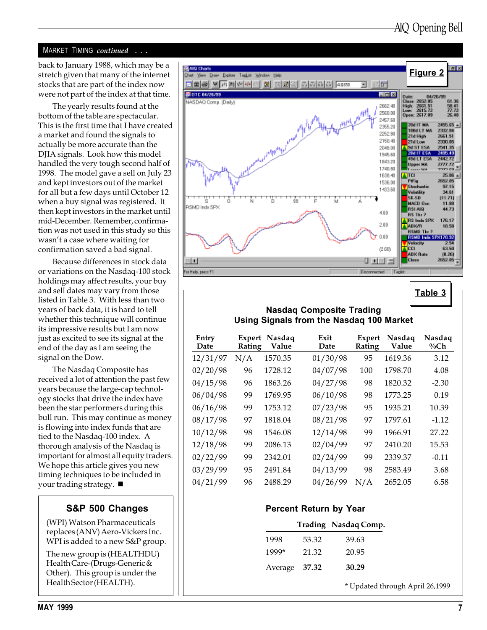#### MARKET TIMING continued . . .

back to January 1988, which may be a stretch given that many of the internet stocks that are part of the index now were not part of the index at that time.

The yearly results found at the bottom of the table are spectacular. This is the first time that I have created a market and found the signals to actually be more accurate than the DJIA signals. Look how this model handled the very tough second half of 1998. The model gave a sell on July 23 and kept investors out of the market for all but a few days until October 12 when a buy signal was registered. It then kept investors in the market until mid-December. Remember, confirmation was not used in this study so this wasn't a case where waiting for confirmation saved a bad signal.

Because differences in stock data or variations on the Nasdaq-100 stock holdings may affect results, your buy and sell dates may vary from those listed in Table 3. With less than two years of back data, it is hard to tell whether this technique will continue its impressive results but I am now just as excited to see its signal at the end of the day as I am seeing the signal on the Dow.

The Nasdaq Composite has received a lot of attention the past few years because the large-cap technology stocks that drive the index have been the star performers during this bull run. This may continue as money is flowing into index funds that are tied to the Nasdaq-100 index. A thorough analysis of the Nasdaq is important for almost all equity traders. We hope this article gives you new timing techniques to be included in your trading strategy.  $\blacksquare$ 

#### S&P 500 Changes

(WPI) Watson Pharmaceuticals replaces (ANV) Aero-Vickers Inc. WPI is added to a new S&P group.

The new group is (HEALTHDU) Health Care-(Drugs-Generic & Other). This group is under the Health Sector (HEALTH).



Table 3

#### Nasdaq Composite Trading Using Signals from the Nasdaq 100 Market

| Entry<br>Date | Expert<br>Rating | Nasdaq<br>Value | Exit<br>Date | <b>Expert</b><br>Rating | Nasdaq<br>Value | Nasdaq<br>$\%$ Ch |
|---------------|------------------|-----------------|--------------|-------------------------|-----------------|-------------------|
| 12/31/97      | N/A              | 1570.35         | 01/30/98     | 95                      | 1619.36         | 3.12              |
| 02/20/98      | 96               | 1728.12         | 04/07/98     | 100                     | 1798.70         | 4.08              |
| 04/15/98      | 96               | 1863.26         | 04/27/98     | 98                      | 1820.32         | $-2.30$           |
| 06/04/98      | 99               | 1769.95         | 06/10/98     | 98                      | 1773.25         | 0.19              |
| 06/16/98      | 99               | 1753.12         | 07/23/98     | 95                      | 1935.21         | 10.39             |
| 08/17/98      | 97               | 1818.04         | 08/21/98     | 97                      | 1797.61         | $-1.12$           |
| 10/12/98      | 98               | 1546.08         | 12/14/98     | 99                      | 1966.91         | 27.22             |
| 12/18/98      | 99               | 2086.13         | 02/04/99     | 97                      | 2410.20         | 15.53             |
| 02/22/99      | 99               | 2342.01         | 02/24/99     | 99                      | 2339.37         | $-0.11$           |
| 03/29/99      | 95               | 2491.84         | 04/13/99     | 98                      | 2583.49         | 3.68              |
| 04/21/99      | 96               | 2488.29         | 04/26/99     | N/A                     | 2652.05         | 6.58              |

#### Percent Return by Year

|               |       | Trading Nasdaq Comp. |
|---------------|-------|----------------------|
| 1998          | 53.32 | 39.63                |
| 1999*         | 21.32 | 20.95                |
| Average 37.32 |       | 30.29                |

\* Updated through April 26,1999